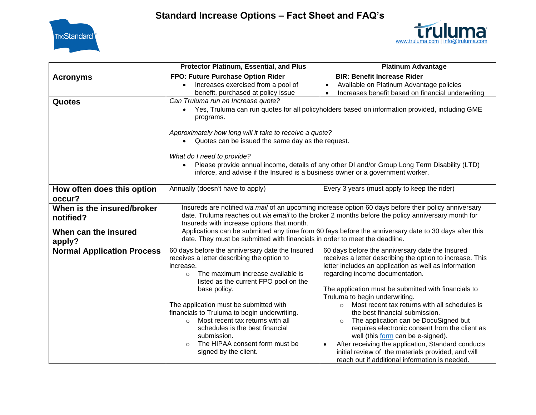



|                                         | Protector Platinum, Essential, and Plus                                                                                                                                                                                                                                                                                                                                                                                                                                                 | <b>Platinum Advantage</b>                                                                                                                                                                                                                                                                                                                                                                                                                                                                                                                                                                                                                                                                                              |
|-----------------------------------------|-----------------------------------------------------------------------------------------------------------------------------------------------------------------------------------------------------------------------------------------------------------------------------------------------------------------------------------------------------------------------------------------------------------------------------------------------------------------------------------------|------------------------------------------------------------------------------------------------------------------------------------------------------------------------------------------------------------------------------------------------------------------------------------------------------------------------------------------------------------------------------------------------------------------------------------------------------------------------------------------------------------------------------------------------------------------------------------------------------------------------------------------------------------------------------------------------------------------------|
| <b>Acronyms</b>                         | FPO: Future Purchase Option Rider                                                                                                                                                                                                                                                                                                                                                                                                                                                       | <b>BIR: Benefit Increase Rider</b>                                                                                                                                                                                                                                                                                                                                                                                                                                                                                                                                                                                                                                                                                     |
|                                         | Increases exercised from a pool of<br>$\bullet$                                                                                                                                                                                                                                                                                                                                                                                                                                         | Available on Platinum Advantage policies<br>$\bullet$                                                                                                                                                                                                                                                                                                                                                                                                                                                                                                                                                                                                                                                                  |
|                                         | benefit, purchased at policy issue                                                                                                                                                                                                                                                                                                                                                                                                                                                      | Increases benefit based on financial underwriting                                                                                                                                                                                                                                                                                                                                                                                                                                                                                                                                                                                                                                                                      |
| <b>Quotes</b>                           | Can Truluma run an Increase quote?<br>Yes, Truluma can run quotes for all policyholders based on information provided, including GME<br>$\bullet$<br>programs.                                                                                                                                                                                                                                                                                                                          |                                                                                                                                                                                                                                                                                                                                                                                                                                                                                                                                                                                                                                                                                                                        |
|                                         | Approximately how long will it take to receive a quote?<br>Quotes can be issued the same day as the request.<br>$\bullet$                                                                                                                                                                                                                                                                                                                                                               |                                                                                                                                                                                                                                                                                                                                                                                                                                                                                                                                                                                                                                                                                                                        |
|                                         | What do I need to provide?                                                                                                                                                                                                                                                                                                                                                                                                                                                              |                                                                                                                                                                                                                                                                                                                                                                                                                                                                                                                                                                                                                                                                                                                        |
|                                         | $\bullet$<br>inforce, and advise if the Insured is a business owner or a government worker.                                                                                                                                                                                                                                                                                                                                                                                             | Please provide annual income, details of any other DI and/or Group Long Term Disability (LTD)                                                                                                                                                                                                                                                                                                                                                                                                                                                                                                                                                                                                                          |
| How often does this option              | Annually (doesn't have to apply)                                                                                                                                                                                                                                                                                                                                                                                                                                                        | Every 3 years (must apply to keep the rider)                                                                                                                                                                                                                                                                                                                                                                                                                                                                                                                                                                                                                                                                           |
| occur?                                  |                                                                                                                                                                                                                                                                                                                                                                                                                                                                                         |                                                                                                                                                                                                                                                                                                                                                                                                                                                                                                                                                                                                                                                                                                                        |
| When is the insured/broker<br>notified? | Insureds are notified via mail of an upcoming increase option 60 days before their policy anniversary<br>date. Truluma reaches out via email to the broker 2 months before the policy anniversary month for<br>Insureds with increase options that month.                                                                                                                                                                                                                               |                                                                                                                                                                                                                                                                                                                                                                                                                                                                                                                                                                                                                                                                                                                        |
| When can the insured<br>apply?          | date. They must be submitted with financials in order to meet the deadline.                                                                                                                                                                                                                                                                                                                                                                                                             | Applications can be submitted any time from 60 fays before the anniversary date to 30 days after this                                                                                                                                                                                                                                                                                                                                                                                                                                                                                                                                                                                                                  |
| <b>Normal Application Process</b>       | 60 days before the anniversary date the Insured<br>receives a letter describing the option to<br>increase.<br>The maximum increase available is<br>$\circ$<br>listed as the current FPO pool on the<br>base policy.<br>The application must be submitted with<br>financials to Truluma to begin underwriting.<br>Most recent tax returns with all<br>$\circ$<br>schedules is the best financial<br>submission.<br>The HIPAA consent form must be<br>$\bigcirc$<br>signed by the client. | 60 days before the anniversary date the Insured<br>receives a letter describing the option to increase. This<br>letter includes an application as well as information<br>regarding income documentation.<br>The application must be submitted with financials to<br>Truluma to begin underwriting.<br>Most recent tax returns with all schedules is<br>$\circ$<br>the best financial submission.<br>The application can be DocuSigned but<br>$\circ$<br>requires electronic consent from the client as<br>well (this form can be e-signed).<br>After receiving the application, Standard conducts<br>$\bullet$<br>initial review of the materials provided, and will<br>reach out if additional information is needed. |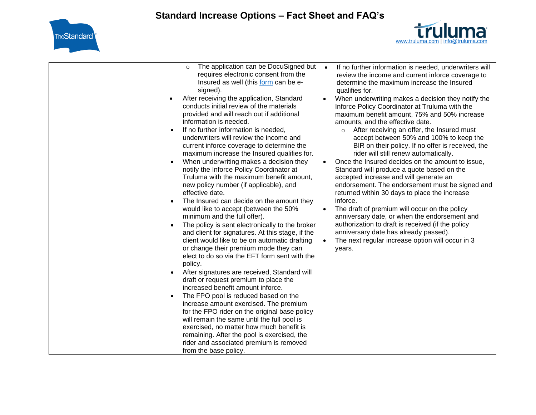



| The application can be DocuSigned but<br>$\circ$<br>requires electronic consent from the<br>Insured as well (this form can be e-<br>signed).<br>After receiving the application, Standard<br>$\bullet$<br>conducts initial review of the materials                                                                                                                                                                                                                                                                                                                                                                                                                                                                                                                                                                                                                                                                                                                                              | $\bullet$<br>$\bullet$              | If no further information is needed, underwriters will<br>review the income and current inforce coverage to<br>determine the maximum increase the Insured<br>qualifies for.<br>When underwriting makes a decision they notify the<br>Inforce Policy Coordinator at Truluma with the                                                                                                                                                                                                                                                                                                                                                                                                                                                                                                                          |
|-------------------------------------------------------------------------------------------------------------------------------------------------------------------------------------------------------------------------------------------------------------------------------------------------------------------------------------------------------------------------------------------------------------------------------------------------------------------------------------------------------------------------------------------------------------------------------------------------------------------------------------------------------------------------------------------------------------------------------------------------------------------------------------------------------------------------------------------------------------------------------------------------------------------------------------------------------------------------------------------------|-------------------------------------|--------------------------------------------------------------------------------------------------------------------------------------------------------------------------------------------------------------------------------------------------------------------------------------------------------------------------------------------------------------------------------------------------------------------------------------------------------------------------------------------------------------------------------------------------------------------------------------------------------------------------------------------------------------------------------------------------------------------------------------------------------------------------------------------------------------|
| provided and will reach out if additional<br>information is needed.<br>If no further information is needed,<br>$\bullet$<br>underwriters will review the income and<br>current inforce coverage to determine the<br>maximum increase the Insured qualifies for.<br>When underwriting makes a decision they<br>$\bullet$<br>notify the Inforce Policy Coordinator at<br>Truluma with the maximum benefit amount,<br>new policy number (if applicable), and<br>effective date.<br>The Insured can decide on the amount they<br>$\bullet$<br>would like to accept (between the 50%<br>minimum and the full offer).<br>The policy is sent electronically to the broker<br>$\bullet$<br>and client for signatures. At this stage, if the<br>client would like to be on automatic drafting<br>or change their premium mode they can<br>elect to do so via the EFT form sent with the<br>policy.<br>After signatures are received, Standard will<br>$\bullet$<br>draft or request premium to place the | $\bullet$<br>$\bullet$<br>$\bullet$ | maximum benefit amount, 75% and 50% increase<br>amounts, and the effective date.<br>After receiving an offer, the Insured must<br>$\circ$<br>accept between 50% and 100% to keep the<br>BIR on their policy. If no offer is received, the<br>rider will still renew automatically.<br>Once the Insured decides on the amount to issue,<br>Standard will produce a quote based on the<br>accepted increase and will generate an<br>endorsement. The endorsement must be signed and<br>returned within 30 days to place the increase<br>inforce.<br>The draft of premium will occur on the policy<br>anniversary date, or when the endorsement and<br>authorization to draft is received (if the policy<br>anniversary date has already passed).<br>The next regular increase option will occur in 3<br>years. |
| increased benefit amount inforce.<br>The FPO pool is reduced based on the<br>$\bullet$<br>increase amount exercised. The premium<br>for the FPO rider on the original base policy<br>will remain the same until the full pool is<br>exercised, no matter how much benefit is                                                                                                                                                                                                                                                                                                                                                                                                                                                                                                                                                                                                                                                                                                                    |                                     |                                                                                                                                                                                                                                                                                                                                                                                                                                                                                                                                                                                                                                                                                                                                                                                                              |
| remaining. After the pool is exercised, the<br>rider and associated premium is removed<br>from the base policy.                                                                                                                                                                                                                                                                                                                                                                                                                                                                                                                                                                                                                                                                                                                                                                                                                                                                                 |                                     |                                                                                                                                                                                                                                                                                                                                                                                                                                                                                                                                                                                                                                                                                                                                                                                                              |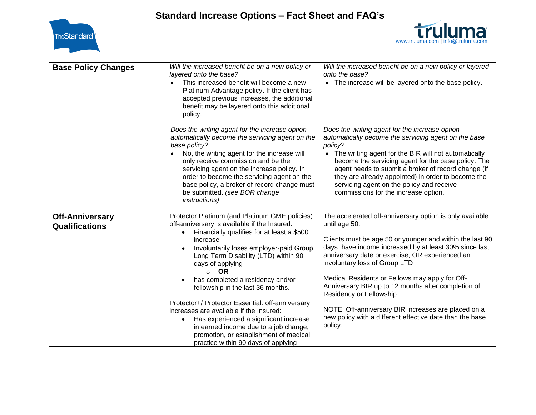



| <b>Base Policy Changes</b>                      | Will the increased benefit be on a new policy or<br>layered onto the base?<br>This increased benefit will become a new<br>$\bullet$<br>Platinum Advantage policy. If the client has<br>accepted previous increases, the additional<br>benefit may be layered onto this additional<br>policy.                                                                                                                                                                                                                                                                                                                                                                                | Will the increased benefit be on a new policy or layered<br>onto the base?<br>• The increase will be layered onto the base policy.                                                                                                                                                                                                                                                                                                                                                                                                                     |
|-------------------------------------------------|-----------------------------------------------------------------------------------------------------------------------------------------------------------------------------------------------------------------------------------------------------------------------------------------------------------------------------------------------------------------------------------------------------------------------------------------------------------------------------------------------------------------------------------------------------------------------------------------------------------------------------------------------------------------------------|--------------------------------------------------------------------------------------------------------------------------------------------------------------------------------------------------------------------------------------------------------------------------------------------------------------------------------------------------------------------------------------------------------------------------------------------------------------------------------------------------------------------------------------------------------|
|                                                 | Does the writing agent for the increase option<br>automatically become the servicing agent on the<br>base policy?<br>No, the writing agent for the increase will<br>only receive commission and be the<br>servicing agent on the increase policy. In<br>order to become the servicing agent on the<br>base policy, a broker of record change must<br>be submitted. (see BOR change<br><i>instructions</i> )                                                                                                                                                                                                                                                                 | Does the writing agent for the increase option<br>automatically become the servicing agent on the base<br>policy?<br>• The writing agent for the BIR will not automatically<br>become the servicing agent for the base policy. The<br>agent needs to submit a broker of record change (if<br>they are already appointed) in order to become the<br>servicing agent on the policy and receive<br>commissions for the increase option.                                                                                                                   |
| <b>Off-Anniversary</b><br><b>Qualifications</b> | Protector Platinum (and Platinum GME policies):<br>off-anniversary is available if the Insured:<br>Financially qualifies for at least a \$500<br>$\bullet$<br>increase<br>Involuntarily loses employer-paid Group<br>Long Term Disability (LTD) within 90<br>days of applying<br><b>OR</b><br>$\circ$<br>has completed a residency and/or<br>$\bullet$<br>fellowship in the last 36 months.<br>Protector+/ Protector Essential: off-anniversary<br>increases are available if the Insured:<br>Has experienced a significant increase<br>$\bullet$<br>in earned income due to a job change,<br>promotion, or establishment of medical<br>practice within 90 days of applying | The accelerated off-anniversary option is only available<br>until age 50.<br>Clients must be age 50 or younger and within the last 90<br>days: have income increased by at least 30% since last<br>anniversary date or exercise, OR experienced an<br>involuntary loss of Group LTD<br>Medical Residents or Fellows may apply for Off-<br>Anniversary BIR up to 12 months after completion of<br>Residency or Fellowship<br>NOTE: Off-anniversary BIR increases are placed on a<br>new policy with a different effective date than the base<br>policy. |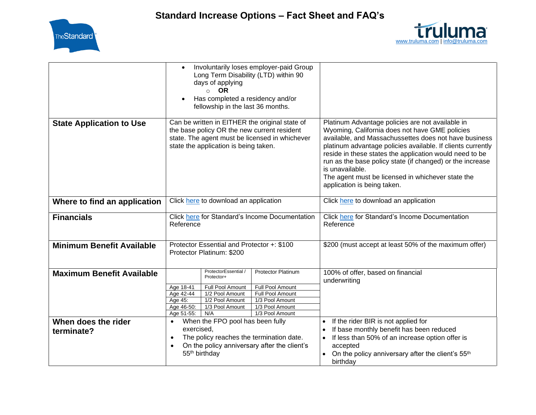



|                                   | Involuntarily loses employer-paid Group<br>Long Term Disability (LTD) within 90<br>days of applying<br><b>OR</b><br>$\circ$<br>Has completed a residency and/or<br>fellowship in the last 36 months.                                                                                                                  |                                                                                                                                                                                                                                                                                                                                                                                                                                                           |
|-----------------------------------|-----------------------------------------------------------------------------------------------------------------------------------------------------------------------------------------------------------------------------------------------------------------------------------------------------------------------|-----------------------------------------------------------------------------------------------------------------------------------------------------------------------------------------------------------------------------------------------------------------------------------------------------------------------------------------------------------------------------------------------------------------------------------------------------------|
| <b>State Application to Use</b>   | Can be written in EITHER the original state of<br>the base policy OR the new current resident<br>state. The agent must be licensed in whichever<br>state the application is being taken.                                                                                                                              | Platinum Advantage policies are not available in<br>Wyoming, California does not have GME policies<br>available, and Massachussettes does not have business<br>platinum advantage policies available. If clients currently<br>reside in these states the application would need to be<br>run as the base policy state (if changed) or the increase<br>is unavailable.<br>The agent must be licensed in whichever state the<br>application is being taken. |
| Where to find an application      | Click here to download an application                                                                                                                                                                                                                                                                                 | Click here to download an application                                                                                                                                                                                                                                                                                                                                                                                                                     |
| <b>Financials</b>                 | Click here for Standard's Income Documentation<br>Reference                                                                                                                                                                                                                                                           | Click here for Standard's Income Documentation<br>Reference                                                                                                                                                                                                                                                                                                                                                                                               |
| <b>Minimum Benefit Available</b>  | Protector Essential and Protector +: \$100<br>Protector Platinum: \$200                                                                                                                                                                                                                                               | \$200 (must accept at least 50% of the maximum offer)                                                                                                                                                                                                                                                                                                                                                                                                     |
| <b>Maximum Benefit Available</b>  | ProtectorEssential /<br><b>Protector Platinum</b><br>Protector+<br>Full Pool Amount<br>Full Pool Amount<br>Age 18-41<br>Age 42-44<br>1/2 Pool Amount<br>Full Pool Amount<br>1/2 Pool Amount<br>1/3 Pool Amount<br>Age 45:<br>Age 46-50:<br>1/3 Pool Amount<br>1/3 Pool Amount<br>1/3 Pool Amount<br>Age 51-55:<br>N/A | 100% of offer, based on financial<br>underwriting                                                                                                                                                                                                                                                                                                                                                                                                         |
| When does the rider<br>terminate? | When the FPO pool has been fully<br>$\bullet$<br>exercised,<br>The policy reaches the termination date.<br>$\bullet$<br>On the policy anniversary after the client's<br>$\bullet$<br>55 <sup>th</sup> birthday                                                                                                        | If the rider BIR is not applied for<br>If base monthly benefit has been reduced<br>If less than 50% of an increase option offer is<br>accepted<br>• On the policy anniversary after the client's 55 <sup>th</sup><br>birthday                                                                                                                                                                                                                             |